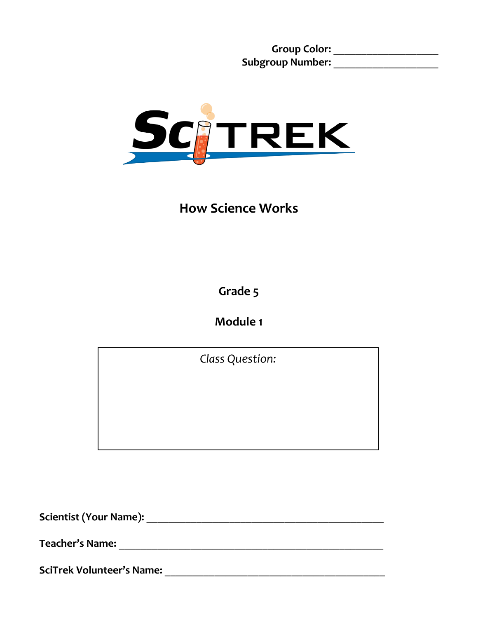**Group Color:** \_\_\_\_\_\_\_\_\_\_\_\_\_\_\_\_\_\_\_ **Subgroup Number:** \_\_\_\_\_\_\_\_\_\_\_\_\_\_\_\_\_\_\_



**How Science Works**

**Grade 5**

**Module 1**

*Class Question:*

**Scientist (Your Name):** \_\_\_\_\_\_\_\_\_\_\_\_\_\_\_\_\_\_\_\_\_\_\_\_\_\_\_\_\_\_\_\_\_\_\_\_\_\_\_\_\_\_\_

**Teacher's Name:** \_\_\_\_\_\_\_\_\_\_\_\_\_\_\_\_\_\_\_\_\_\_\_\_\_\_\_\_\_\_\_\_\_\_\_\_\_\_\_\_\_\_\_\_\_\_\_\_

**SciTrek Volunteer's Name:** \_\_\_\_\_\_\_\_\_\_\_\_\_\_\_\_\_\_\_\_\_\_\_\_\_\_\_\_\_\_\_\_\_\_\_\_\_\_\_\_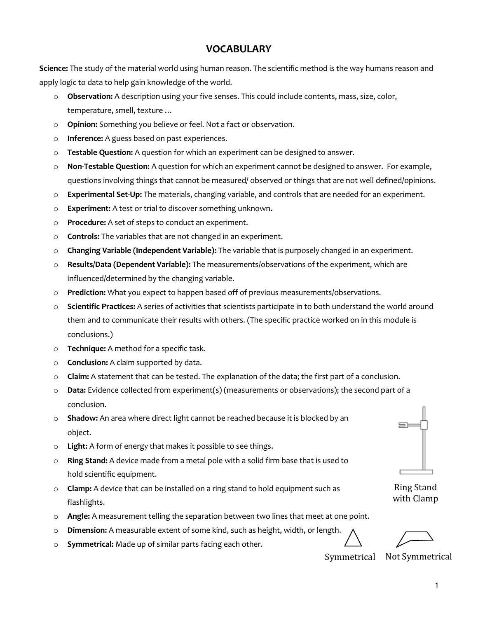#### **VOCABULARY**

**Science:** The study of the material world using human reason. The scientific method is the way humans reason and apply logic to data to help gain knowledge of the world.

- o **Observation:** A description using your five senses. This could include contents, mass, size, color, temperature, smell, texture …
- o **Opinion:** Something you believe or feel. Not a fact or observation.
- o **Inference:** A guess based on past experiences.
- o **Testable Question:** A question for which an experiment can be designed to answer.
- o **Non-Testable Question:** A question for which an experiment cannot be designed to answer. For example, questions involving things that cannot be measured/ observed or things that are not well defined/opinions.
- o **Experimental Set-Up:** The materials, changing variable, and controls that are needed for an experiment.
- o **Experiment:** A test or trial to discover something unknown**.**
- o **Procedure:** A set of steps to conduct an experiment.
- o **Controls:** The variables that are not changed in an experiment.
- o **Changing Variable (Independent Variable):** The variable that is purposely changed in an experiment.
- o **Results/Data (Dependent Variable):** The measurements/observations of the experiment, which are influenced/determined by the changing variable.
- o **Prediction:** What you expect to happen based off of previous measurements/observations.
- o **Scientific Practices:** A series of activities that scientists participate in to both understand the world around them and to communicate their results with others. (The specific practice worked on in this module is conclusions.)
- o **Technique:** A method for a specific task.
- o **Conclusion:** A claim supported by data.
- o **Claim:** A statement that can be tested. The explanation of the data; the first part of a conclusion.
- o **Data:** Evidence collected from experiment(s) (measurements or observations); the second part of a conclusion.
- o **Shadow:** An area where direct light cannot be reached because it is blocked by an object.
- o **Light:** A form of energy that makes it possible to see things.
- o **Ring Stand:** A device made from a metal pole with a solid firm base that is used to hold scientific equipment.
- o **Clamp:** A device that can be installed on a ring stand to hold equipment such as flashlights.
- o **Angle:** A measurement telling the separation between two lines that meet at one point.
- o **Dimension:** A measurable extent of some kind, such as height, width, or length.
- o **Symmetrical:** Made up of similar parts facing each other.

Ring Stand with Clamp

Symmetrical Not Symmetrical

1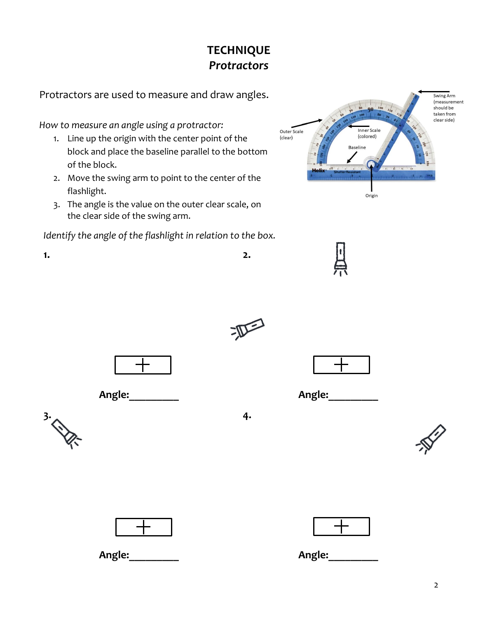# **TECHNIQUE** *Protractors*

Protractors are used to measure and draw angles.

*How to measure an angle using a protractor:*

- 1. Line up the origin with the center point of the block and place the baseline parallel to the bottom of the block.
- 2. Move the swing arm to point to the center of the flashlight.
- 3. The angle is the value on the outer clear scale, on the clear side of the swing arm.

*Identify the angle of the flashlight in relation to the box.* 







**2.** 







**1.**



**Angle:\_\_\_\_\_\_\_\_\_**

**Angle:\_\_\_\_\_\_\_\_\_**

 $\overline{a}$ 







**Angle:\_\_\_\_\_\_\_\_\_**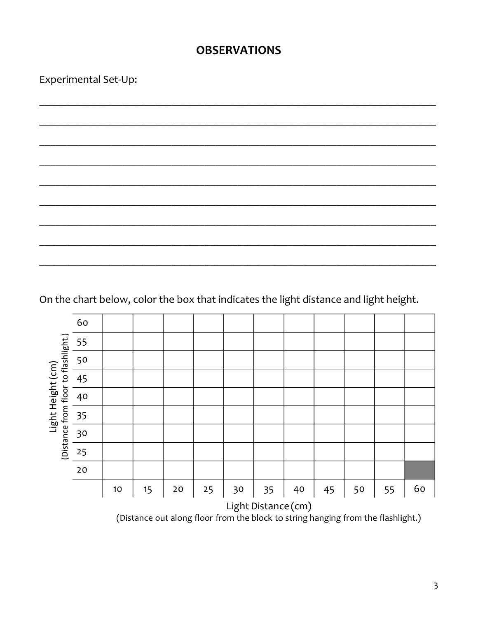## **OBSERVATIONS**

Experimental Set-Up:

On the chart below, color the box that indicates the light distance and light height.

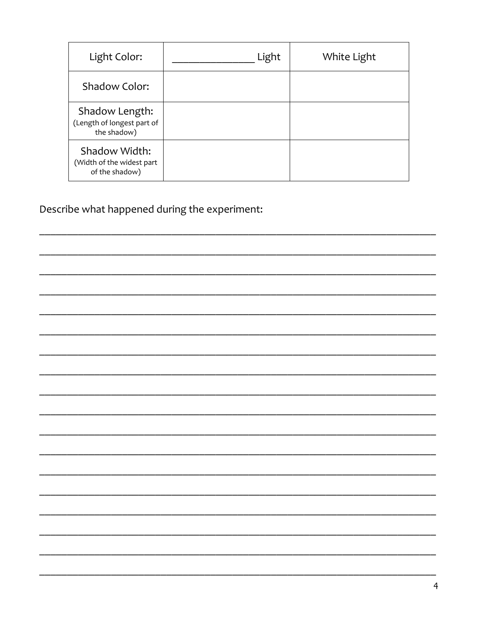| Light Color:                                                 | Light | White Light |
|--------------------------------------------------------------|-------|-------------|
| <b>Shadow Color:</b>                                         |       |             |
| Shadow Length:<br>(Length of longest part of<br>the shadow)  |       |             |
| Shadow Width:<br>(Width of the widest part<br>of the shadow) |       |             |

Describe what happened during the experiment:

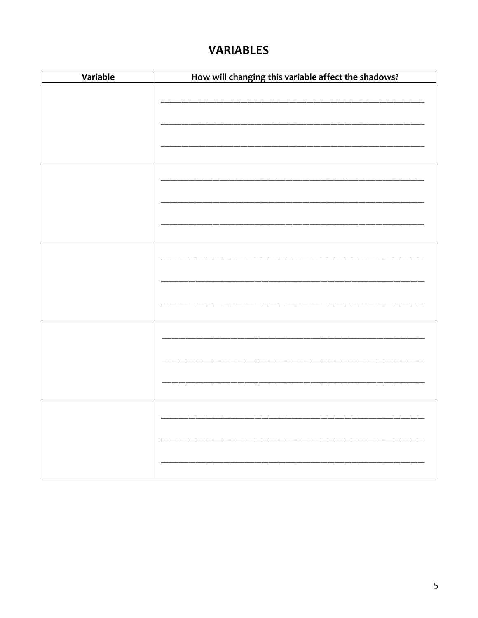# **VARIABLES**

| Variable | How will changing this variable affect the shadows? |
|----------|-----------------------------------------------------|
|          |                                                     |
|          |                                                     |
|          |                                                     |
|          |                                                     |
|          |                                                     |
|          |                                                     |
|          |                                                     |
|          |                                                     |
|          |                                                     |
|          |                                                     |
|          |                                                     |
|          |                                                     |
|          |                                                     |
|          |                                                     |
|          |                                                     |
|          |                                                     |
|          |                                                     |
|          |                                                     |
|          |                                                     |
|          |                                                     |
|          |                                                     |
|          |                                                     |
|          |                                                     |
|          |                                                     |
|          |                                                     |
|          |                                                     |
|          |                                                     |
|          |                                                     |
|          |                                                     |
|          |                                                     |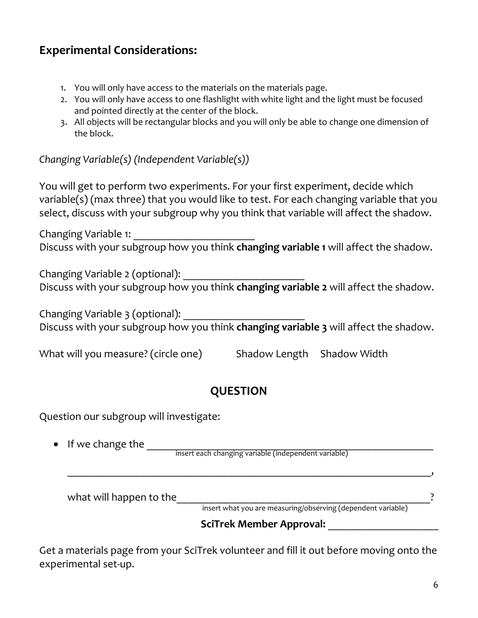# **Experimental Considerations:**

- 1. You will only have access to the materials on the materials page.
- 2. You will only have access to one flashlight with white light and the light must be focused and pointed directly at the center of the block.
- 3. All objects will be rectangular blocks and you will only be able to change one dimension of the block.

*Changing Variable(s) (Independent Variable(s))*

You will get to perform two experiments. For your first experiment, decide which variable(s) (max three) that you would like to test. For each changing variable that you select, discuss with your subgroup why you think that variable will affect the shadow.

Changing Variable 1: \_\_\_\_\_\_\_\_\_\_\_\_\_\_\_\_\_\_\_\_\_\_ Discuss with your subgroup how you think **changing variable 1** will affect the shadow.

Changing Variable 2 (optional): \_\_\_\_\_\_\_\_\_\_\_\_\_\_\_\_\_\_\_\_\_\_ Discuss with your subgroup how you think **changing variable 2** will affect the shadow.

Changing Variable 3 (optional): \_\_\_\_\_\_\_\_\_\_\_\_\_\_\_\_\_\_\_\_\_\_ Discuss with your subgroup how you think **changing variable 3** will affect the shadow.

What will you measure? (circle one) Shadow Length Shadow Width

## **QUESTION**

Question our subgroup will investigate:

• If we change the \_\_\_\_\_\_\_\_\_\_\_\_\_\_\_\_\_\_\_\_\_\_\_\_\_\_\_\_\_\_\_\_\_\_\_\_\_\_\_\_\_\_\_\_\_\_\_\_\_\_\_\_ insert each changing variable (independent variable)

\_\_\_\_\_\_\_\_\_\_\_\_\_\_\_\_\_\_\_\_\_\_\_\_\_\_\_\_\_\_\_\_\_\_\_\_\_\_\_\_\_\_\_\_\_\_\_\_\_\_\_\_\_\_\_\_\_\_\_\_\_\_\_\_\_\_,

what will happen to the\_\_\_\_\_\_\_\_\_\_\_\_\_\_\_\_\_\_\_\_\_\_\_\_\_\_\_\_\_\_\_\_\_\_\_\_\_\_\_\_\_\_\_\_\_\_?

insert what you are measuring/observing (dependent variable)

## **SciTrek Member Approval:** \_\_\_\_\_\_\_\_\_\_\_\_\_\_\_\_\_\_\_\_

Get a materials page from your SciTrek volunteer and fill it out before moving onto the experimental set-up.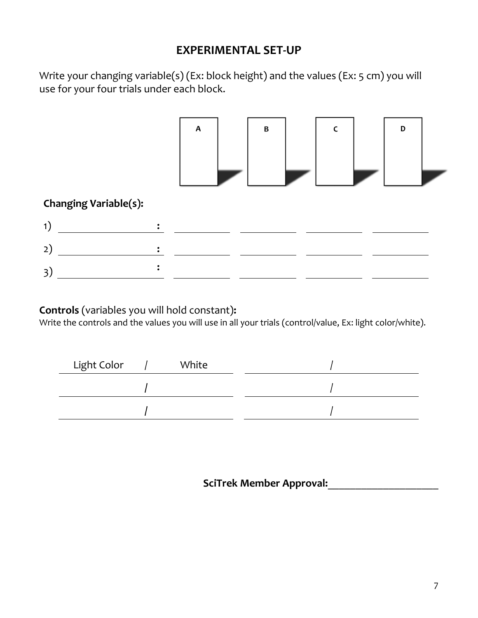## **EXPERIMENTAL SET-UP**

Write your changing variable(s) (Ex: block height) and the values (Ex: 5 cm) you will use for your four trials under each block.



# **Changing Variable(s):**

## **Controls** (variables you will hold constant)**:**

Write the controls and the values you will use in all your trials (control/value, Ex: light color/white).

| Light Color | White |  |
|-------------|-------|--|
|             |       |  |
|             |       |  |

**SciTrek Member Approval:**\_\_\_\_\_\_\_\_\_\_\_\_\_\_\_\_\_\_\_\_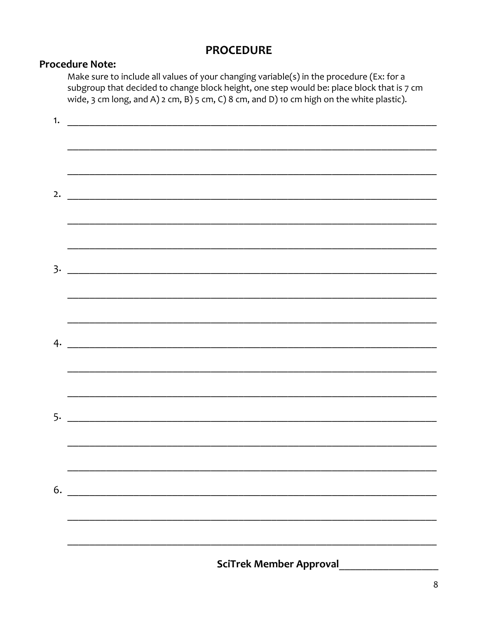## **PROCEDURE**

## **Procedure Note:**

Make sure to include all values of your changing variable(s) in the procedure (Ex: for a subgroup that decided to change block height, one step would be: place block that is 7 cm wide, 3 cm long, and A)  $2$  cm, B)  $5$  cm, C)  $8$  cm, and D) 10 cm high on the white plastic).

|    | <b>SciTrek Member Approval</b> |
|----|--------------------------------|
|    |                                |
| 6. |                                |
|    |                                |
|    |                                |
|    |                                |
|    |                                |
|    |                                |
|    |                                |
|    | $3.$ $\overline{\phantom{a}}$  |
|    |                                |
|    |                                |
|    | 2. $\qquad \qquad$             |
|    |                                |
|    |                                |
| 1. |                                |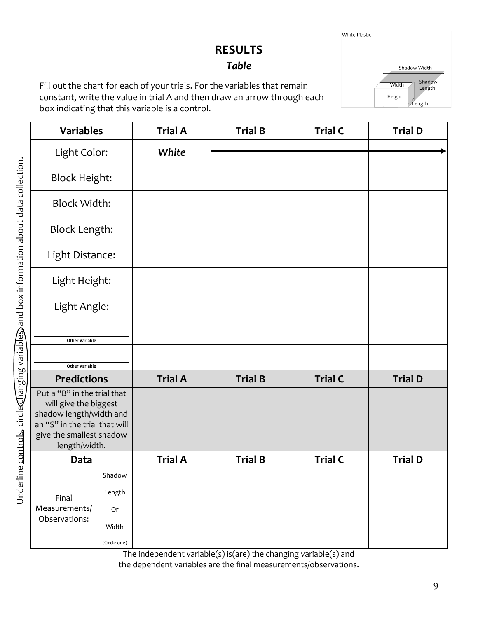# **RESULTS**

## *Table*

Fill out the chart for each of your trials. For the variables that remain constant, write the value in trial A and then draw an arrow through each box indicating that this variable is a control.

| Plastic |                 |                        |  |
|---------|-----------------|------------------------|--|
|         |                 | Shadow Width<br>Shadow |  |
|         | Width<br>Height | Length                 |  |
|         |                 | Ĺength                 |  |

White

| <b>Variables</b>                                                                                                                                                                    |                                                        | <b>Trial A</b> | <b>Trial B</b> | <b>Trial C</b> | <b>Trial D</b> |
|-------------------------------------------------------------------------------------------------------------------------------------------------------------------------------------|--------------------------------------------------------|----------------|----------------|----------------|----------------|
| Light Color:                                                                                                                                                                        |                                                        | White          |                |                |                |
| <b>Block Height:</b>                                                                                                                                                                |                                                        |                |                |                |                |
| <b>Block Width:</b>                                                                                                                                                                 |                                                        |                |                |                |                |
| <b>Block Length:</b>                                                                                                                                                                |                                                        |                |                |                |                |
| Light Distance:                                                                                                                                                                     |                                                        |                |                |                |                |
| Light Height:                                                                                                                                                                       |                                                        |                |                |                |                |
| Light Angle:                                                                                                                                                                        |                                                        |                |                |                |                |
| <b>Other Variable</b>                                                                                                                                                               |                                                        |                |                |                |                |
| <b>Other Variable</b>                                                                                                                                                               |                                                        |                |                | <b>Trial C</b> |                |
| <b>Predictions</b><br>Put a "B" in the trial that<br>will give the biggest<br>shadow length/width and<br>an "S" in the trial that will<br>give the smallest shadow<br>length/width. |                                                        | <b>Trial A</b> | <b>Trial B</b> |                | <b>Trial D</b> |
| Data                                                                                                                                                                                |                                                        | <b>Trial A</b> | <b>Trial B</b> | <b>Trial C</b> | <b>Trial D</b> |
| Final<br>Measurements/<br>Observations:                                                                                                                                             | Shadow<br>Length<br><b>Or</b><br>Width<br>(Circle one) |                |                |                |                |

The independent variable(s) is(are) the changing variable(s) and the dependent variables are the final measurements/observations.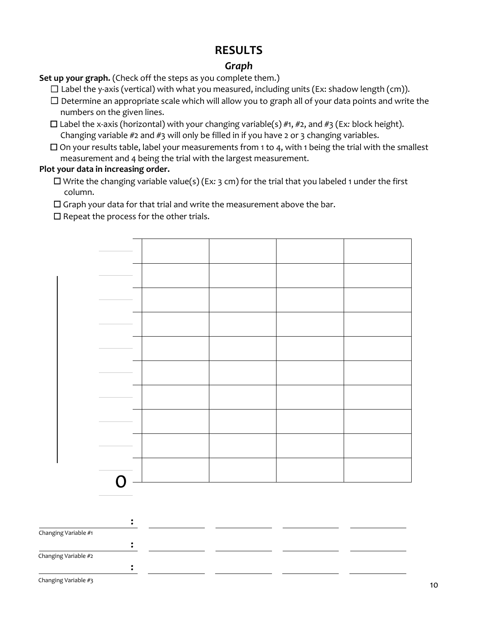## **RESULTS**

## *Graph*

Set up your graph. (Check off the steps as you complete them.)

- $\Box$  Label the y-axis (vertical) with what you measured, including units (Ex: shadow length (cm)).
- ☐ Determine an appropriate scale which will allow you to graph all of your data points and write the numbers on the given lines.
- ☐ Label the x-axis (horizontal) with your changing variable(s) #1, #2, and #3 (Ex*:* block height). Changing variable  $#2$  and  $#3$  will only be filled in if you have 2 or 3 changing variables.
- $\Box$  On your results table, label your measurements from 1 to 4, with 1 being the trial with the smallest measurement and 4 being the trial with the largest measurement.

### **Plot your data in increasing order.**

- ☐ Write the changing variable value(s) (Ex*:* 3 cm) for the trial that you labeled 1 under the first column.
- ☐ Graph your data for that trial and write the measurement above the bar.

 $\Box$  Repeat the process for the other trials.



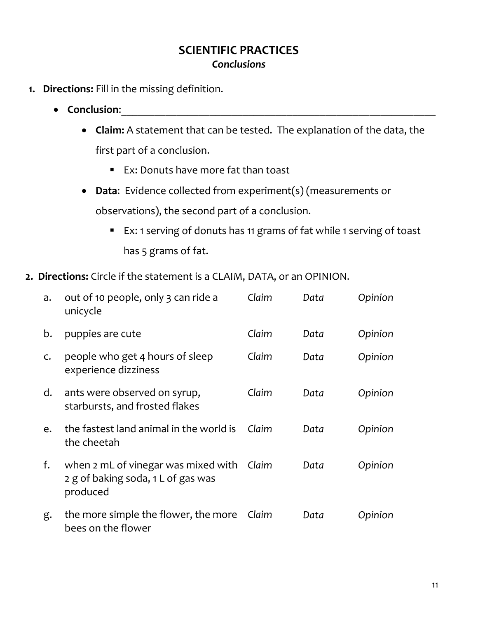- **1. Directions:** Fill in the missing definition.
	- **Conclusion:** 
		- **Claim:** A statement that can be tested. The explanation of the data, the first part of a conclusion.
			- Ex: Donuts have more fat than toast
		- **Data**: Evidence collected from experiment(s) (measurements or observations), the second part of a conclusion.
			- Ex: 1 serving of donuts has 11 grams of fat while 1 serving of toast has 5 grams of fat.
- **2. Directions:** Circle if the statement is a CLAIM, DATA, or an OPINION.

| a. | out of 10 people, only 3 can ride a<br>unicycle                                             | Claim | Data | Opinion |
|----|---------------------------------------------------------------------------------------------|-------|------|---------|
| b. | puppies are cute                                                                            | Claim | Data | Opinion |
| C. | people who get 4 hours of sleep<br>experience dizziness                                     | Claim | Data | Opinion |
| d. | ants were observed on syrup,<br>starbursts, and frosted flakes                              | Claim | Data | Opinion |
| e. | the fastest land animal in the world is<br>the cheetah                                      | Claim | Data | Opinion |
| f. | when 2 mL of vinegar was mixed with Claim<br>2 g of baking soda, 1 L of gas was<br>produced |       | Data | Opinion |
| g. | the more simple the flower, the more<br>bees on the flower                                  | Claim | Data | Opinion |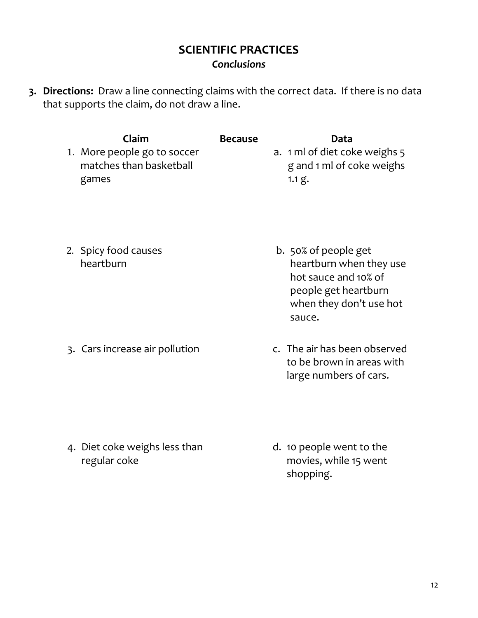**3. Directions:** Draw a line connecting claims with the correct data. If there is no data that supports the claim, do not draw a line.

| Claim<br>1. More people go to soccer<br>matches than basketball<br>games | <b>Because</b> | Data<br>a. 1 ml of diet coke weighs 5<br>g and 1 ml of coke weighs<br>1.1 g.                                                         |
|--------------------------------------------------------------------------|----------------|--------------------------------------------------------------------------------------------------------------------------------------|
| 2. Spicy food causes<br>heartburn                                        |                | b. 50% of people get<br>heartburn when they use<br>hot sauce and 10% of<br>people get heartburn<br>when they don't use hot<br>sauce. |
| 3. Cars increase air pollution                                           |                | c. The air has been observed<br>to be brown in areas with<br>large numbers of cars.                                                  |

4. Diet coke weighs less than regular coke

d. 10 people went to the movies, while 15 went shopping.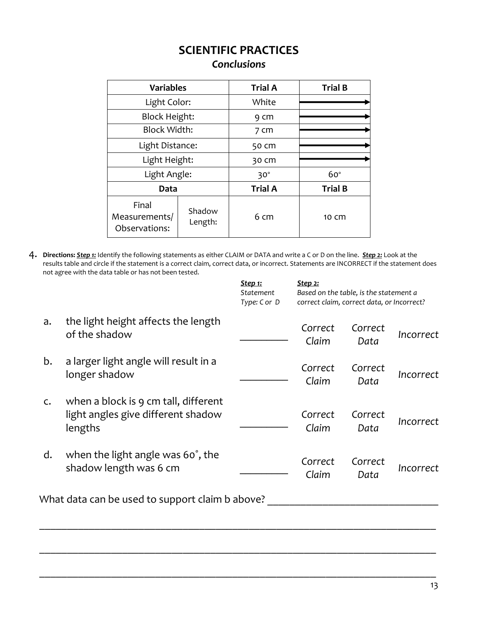| <b>Variables</b>                        |                   | <b>Trial A</b> | <b>Trial B</b> |
|-----------------------------------------|-------------------|----------------|----------------|
| Light Color:                            |                   | White          |                |
| <b>Block Height:</b>                    |                   | 9 cm           |                |
| <b>Block Width:</b>                     |                   | 7 cm           |                |
| Light Distance:                         |                   | 50 cm          |                |
| Light Height:                           |                   | 30 Cm          |                |
| Light Angle:                            |                   | $30^\circ$     | $60^\circ$     |
| Data                                    |                   | <b>Trial A</b> | <b>Trial B</b> |
| Final<br>Measurements/<br>Observations: | Shadow<br>Length: | 6 cm           | 10 cm          |

4. **Directions:** *Step 1:* Identify the following statements as either CLAIM or DATA and write a C or D on the line. *Step 2:* Look at the results table and circle if the statement is a correct claim, correct data, or incorrect. Statements are INCORRECT if the statement does not agree with the data table or has not been tested.

|    |                                                                                       | <b>Step 1:</b><br>Statement<br>Type: C or D | <u>Step 2:</u><br>Based on the table, is the statement a<br>correct claim, correct data, or Incorrect? |                 |           |
|----|---------------------------------------------------------------------------------------|---------------------------------------------|--------------------------------------------------------------------------------------------------------|-----------------|-----------|
| a. | the light height affects the length<br>of the shadow                                  |                                             | Correct<br>Claim                                                                                       | Correct<br>Data | Incorrect |
| b. | a larger light angle will result in a<br>longer shadow                                |                                             | Correct<br>Claim                                                                                       | Correct<br>Data | Incorrect |
| C. | when a block is 9 cm tall, different<br>light angles give different shadow<br>lengths |                                             | Correct<br>Claim                                                                                       | Correct<br>Data | Incorrect |
| d. | when the light angle was 60°, the<br>shadow length was 6 cm                           |                                             | Correct<br>Claim                                                                                       | Correct<br>Data | Incorrect |
|    | What data can be used to support claim b above?                                       |                                             |                                                                                                        |                 |           |

\_\_\_\_\_\_\_\_\_\_\_\_\_\_\_\_\_\_\_\_\_\_\_\_\_\_\_\_\_\_\_\_\_\_\_\_\_\_\_\_\_\_\_\_\_\_\_\_\_\_\_\_\_\_\_\_\_\_\_\_\_\_\_\_\_\_\_\_\_\_\_\_

\_\_\_\_\_\_\_\_\_\_\_\_\_\_\_\_\_\_\_\_\_\_\_\_\_\_\_\_\_\_\_\_\_\_\_\_\_\_\_\_\_\_\_\_\_\_\_\_\_\_\_\_\_\_\_\_\_\_\_\_\_\_\_\_\_\_\_\_\_\_\_\_

\_\_\_\_\_\_\_\_\_\_\_\_\_\_\_\_\_\_\_\_\_\_\_\_\_\_\_\_\_\_\_\_\_\_\_\_\_\_\_\_\_\_\_\_\_\_\_\_\_\_\_\_\_\_\_\_\_\_\_\_\_\_\_\_\_\_\_\_\_\_\_\_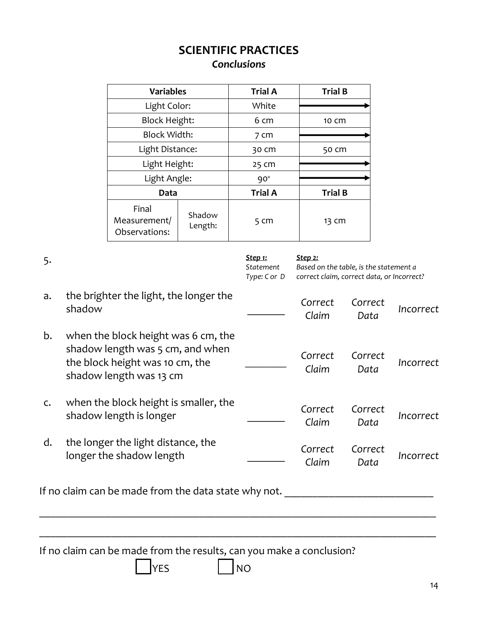| <b>Variables</b>                       |                   | <b>Trial A</b> | <b>Trial B</b> |
|----------------------------------------|-------------------|----------------|----------------|
| Light Color:                           |                   | White          |                |
| <b>Block Height:</b>                   |                   | 6 cm           | 10 Cm          |
| <b>Block Width:</b>                    |                   | 7 cm           |                |
| Light Distance:                        |                   | 30 cm          | 50 cm          |
| Light Height:                          |                   | 25 cm          |                |
| Light Angle:                           |                   | $90^{\circ}$   |                |
| Data                                   |                   | <b>Trial A</b> | <b>Trial B</b> |
| Final<br>Measurement/<br>Observations: | Shadow<br>Length: | 5 cm           | 13 CM          |

| 5. |                                                                                                                                       | Step 1:<br>Statement<br>Type: C or D | <u>Step 2:</u><br>Based on the table, is the statement a<br>correct claim, correct data, or Incorrect? |                 |           |
|----|---------------------------------------------------------------------------------------------------------------------------------------|--------------------------------------|--------------------------------------------------------------------------------------------------------|-----------------|-----------|
| a. | the brighter the light, the longer the<br>shadow                                                                                      |                                      | Correct<br>Claim                                                                                       | Correct<br>Data | Incorrect |
| b. | when the block height was 6 cm, the<br>shadow length was 5 cm, and when<br>the block height was 10 cm, the<br>shadow length was 13 cm |                                      | Correct<br>Claim                                                                                       | Correct<br>Data | Incorrect |
| C. | when the block height is smaller, the<br>shadow length is longer                                                                      |                                      | Correct<br>Claim                                                                                       | Correct<br>Data | Incorrect |
| d. | the longer the light distance, the<br>longer the shadow length                                                                        |                                      | Correct<br>Claim                                                                                       | Correct<br>Data | Incorrect |
|    | If no claim can be made from the data state why not.                                                                                  |                                      |                                                                                                        |                 |           |
|    |                                                                                                                                       |                                      |                                                                                                        |                 |           |

If no claim can be made from the results, can you make a conclusion?

 $\sqrt{}$ YES  $\sqrt{}$ NO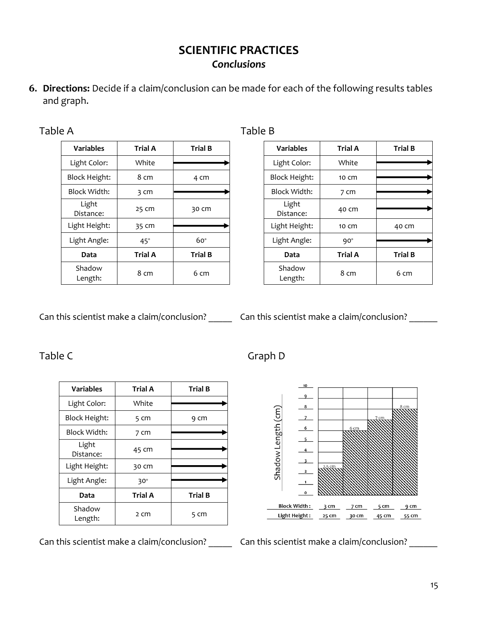**6. Directions:** Decide if a claim/conclusion can be made for each of the following results tables and graph.

| anı |  |  | ≏ |  |  |
|-----|--|--|---|--|--|
|-----|--|--|---|--|--|

| <b>Variables</b>     | <b>Trial A</b> | <b>Trial B</b> |
|----------------------|----------------|----------------|
| Light Color:         | White          |                |
|                      |                |                |
| <b>Block Height:</b> | 8 cm           | 4 cm           |
| Block Width:         | 3 cm           |                |
| Light<br>Distance:   | 25 cm          | 30 cm          |
| Light Height:        | 35 cm          |                |
| Light Angle:         | $45^\circ$     | $60^\circ$     |
| Data                 | <b>Trial A</b> | <b>Trial B</b> |
| Shadow<br>Length:    | 8 cm           | 6 cm           |

#### Table B

| <b>Variables</b>     | <b>Trial A</b> | <b>Trial B</b> |
|----------------------|----------------|----------------|
| Light Color:         | White          |                |
| <b>Block Height:</b> | 10 cm          |                |
| <b>Block Width:</b>  | 7 cm           |                |
| Light<br>Distance:   | 40 cm          |                |
| Light Height:        | 10 cm          | 40 cm          |
| Light Angle:         | $90^{\circ}$   |                |
| Data                 | <b>Trial A</b> | <b>Trial B</b> |
| Shadow<br>Length:    | 8 cm           | 6 cm           |

Can this scientist make a claim/conclusion? \_\_\_\_\_\_ Can this scientist make a claim/conclusion? \_\_\_\_\_\_

## Table C Graph D

| <b>Variables</b>   | <b>Trial A</b> | <b>Trial B</b> |
|--------------------|----------------|----------------|
| Light Color:       | White          |                |
| Block Height:      | 5 cm           | 9 cm           |
| Block Width:       | 7 cm           |                |
| Light<br>Distance: | 45 cm          |                |
| Light Height:      | 30 Cm          |                |
| Light Angle:       | $30^\circ$     |                |
| Data               | <b>Trial A</b> | <b>Trial B</b> |
| Shadow<br>Length:  | 2 cm           | 5 cm           |

Can this scientist make a claim/conclusion? \_\_\_\_\_\_ Can this scientist make a claim/conclusion? \_\_\_\_\_\_\_

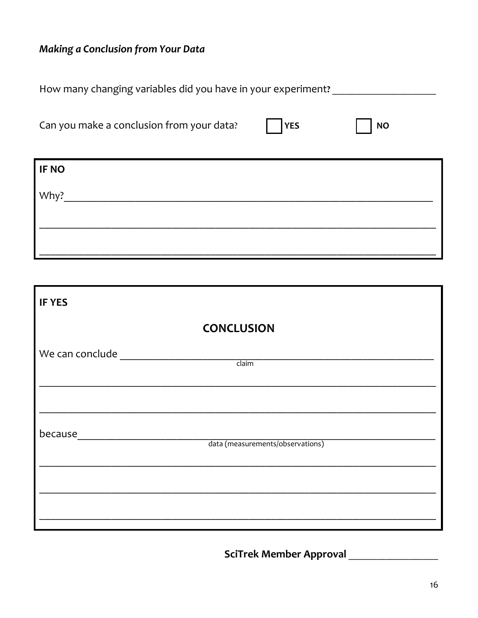# Making a Conclusion from Your Data

| How many changing variables did you have in your experiment? |            |           |
|--------------------------------------------------------------|------------|-----------|
| Can you make a conclusion from your data?                    | <b>YES</b> | <b>NO</b> |
| <b>IF NO</b>                                                 |            |           |
| Why?                                                         |            |           |
|                                                              |            |           |
|                                                              |            |           |

| <b>IF YES</b>   |                                  |  |
|-----------------|----------------------------------|--|
|                 | <b>CONCLUSION</b>                |  |
| We can conclude | claim                            |  |
|                 |                                  |  |
| because         | data (measurements/observations) |  |
|                 |                                  |  |
|                 |                                  |  |
|                 |                                  |  |

SciTrek Member Approval \_\_\_\_\_\_\_\_\_\_\_\_\_\_\_\_\_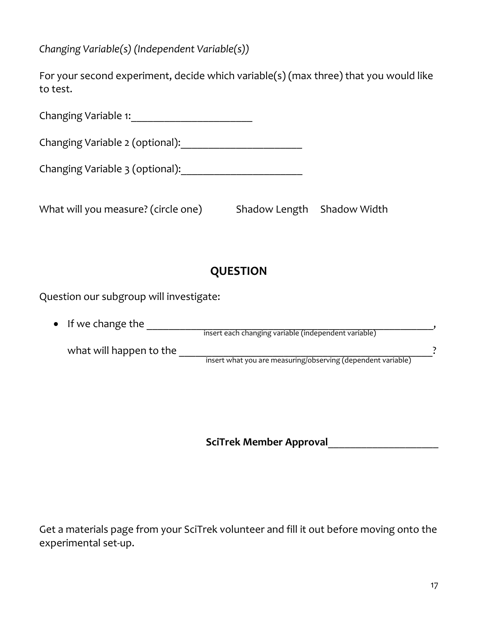*Changing Variable(s) (Independent Variable(s))*

|          | For your second experiment, decide which variable(s) (max three) that you would like |  |
|----------|--------------------------------------------------------------------------------------|--|
| to test. |                                                                                      |  |

| Changing Variable 1:                |                            |  |  |
|-------------------------------------|----------------------------|--|--|
| Changing Variable 2 (optional):     |                            |  |  |
| Changing Variable 3 (optional):     |                            |  |  |
| What will you measure? (circle one) | Shadow Length Shadow Width |  |  |

# **QUESTION**

Question our subgroup will investigate:

| $\bullet$ If we change the |                                                              |  |
|----------------------------|--------------------------------------------------------------|--|
|                            | insert each changing variable (independent variable)         |  |
| what will happen to the    |                                                              |  |
|                            | insert what you are measuring/observing (dependent variable) |  |

**SciTrek Member Approval**\_\_\_\_\_\_\_\_\_\_\_\_\_\_\_\_\_\_\_\_

Get a materials page from your SciTrek volunteer and fill it out before moving onto the experimental set-up.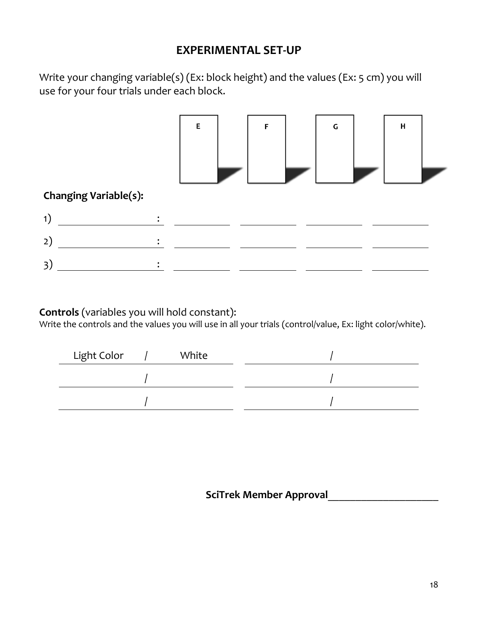## **EXPERIMENTAL SET-UP**

Write your changing variable(s) (Ex: block height) and the values (Ex: 5 cm) you will use for your four trials under each block.



**Controls** (variables you will hold constant):

Write the controls and the values you will use in all your trials (control/value, Ex: light color/white).

| Light Color | White |  |
|-------------|-------|--|
|             |       |  |
|             |       |  |

 **SciTrek Member Approval**\_\_\_\_\_\_\_\_\_\_\_\_\_\_\_\_\_\_\_\_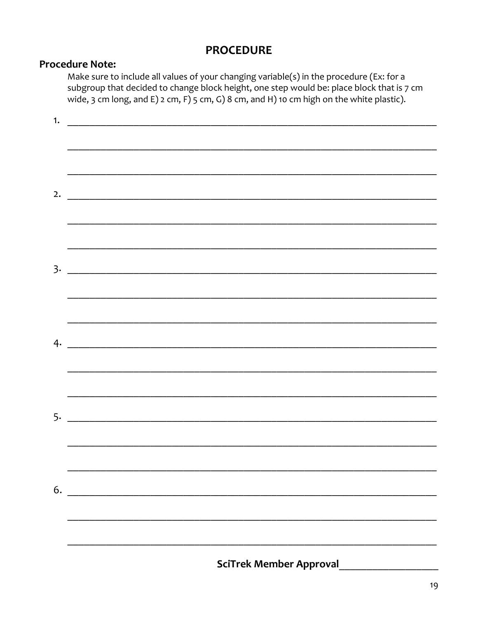## **PROCEDURE**

## **Procedure Note:**

Make sure to include all values of your changing variable(s) in the procedure (Ex: for a subgroup that decided to change block height, one step would be: place block that is 7 cm wide, 3 cm long, and E)  $2$  cm, F)  $5$  cm, G) 8 cm, and H) 10 cm high on the white plastic).

| 1. |                                |
|----|--------------------------------|
|    |                                |
|    |                                |
|    |                                |
|    |                                |
|    | 2. $\qquad \qquad$             |
|    |                                |
|    |                                |
|    |                                |
|    |                                |
|    |                                |
|    |                                |
|    |                                |
|    |                                |
|    |                                |
|    |                                |
|    |                                |
|    |                                |
|    |                                |
|    |                                |
|    |                                |
|    |                                |
|    |                                |
|    |                                |
|    |                                |
|    |                                |
| 6. |                                |
|    |                                |
|    |                                |
|    |                                |
|    |                                |
|    | <b>SciTrek Member Approval</b> |
|    |                                |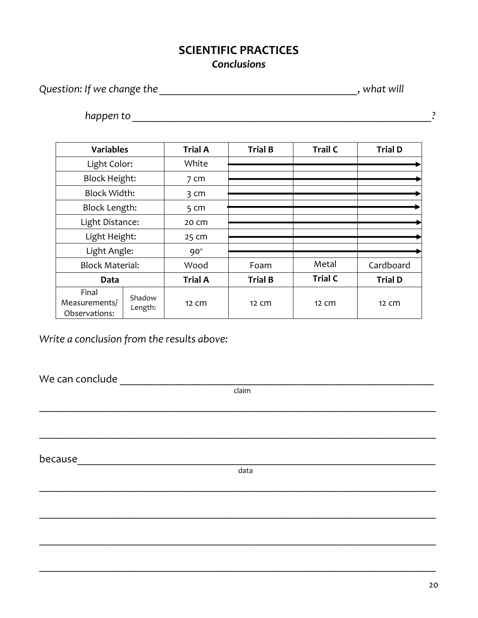*Question: If we change the \_\_\_\_\_\_\_\_\_\_\_\_\_\_\_\_\_\_\_\_\_\_\_\_\_\_\_\_\_\_\_\_\_\_\_\_\_, what will* 

*happen to \_\_\_\_\_\_\_\_\_\_\_\_\_\_\_\_\_\_\_\_\_\_\_\_\_\_\_\_\_\_\_\_\_\_\_\_\_\_\_\_\_\_\_\_\_\_\_\_\_\_\_\_\_\_\_\_?* 

| <b>Variables</b>                        |                   | <b>Trial A</b>  | <b>Trial B</b> | <b>Trail C</b>  | <b>Trial D</b> |
|-----------------------------------------|-------------------|-----------------|----------------|-----------------|----------------|
| Light Color:                            |                   | White           |                |                 |                |
| <b>Block Height:</b>                    |                   | 7 <sub>cm</sub> |                |                 |                |
| <b>Block Width:</b>                     |                   | 3 <sub>cm</sub> |                |                 |                |
| <b>Block Length:</b>                    |                   | 5 <sub>cm</sub> |                |                 |                |
| Light Distance:                         |                   | 20 cm           |                |                 |                |
| Light Height:                           |                   | 25 cm           |                |                 |                |
| Light Angle:                            |                   | $90^\circ$      |                |                 |                |
| <b>Block Material:</b>                  |                   | Wood            | Foam           | Metal           | Cardboard      |
| Data                                    |                   | <b>Trial A</b>  | <b>Trial B</b> | <b>Trial C</b>  | <b>Trial D</b> |
| Final<br>Measurements/<br>Observations: | Shadow<br>Length: | 12 Cm           | 12 Cm          | $12 \text{ cm}$ | 12 Cm          |

*Write a conclusion from the results above:*

We can conclude \_\_\_\_\_\_\_\_\_\_\_\_\_\_\_\_\_\_\_\_\_\_\_\_\_\_\_\_\_\_\_\_\_\_\_\_\_\_\_\_\_\_\_\_\_\_\_\_\_\_\_\_\_\_\_\_\_

claim

 $\_$  , and the contribution of the contribution of  $\mathcal{L}_1$  , and  $\mathcal{L}_2$  , and  $\mathcal{L}_3$  , and  $\mathcal{L}_4$  , and  $\mathcal{L}_5$  , and  $\mathcal{L}_6$  , and  $\mathcal{L}_7$  , and  $\mathcal{L}_8$  , and  $\mathcal{L}_7$  , and  $\mathcal{L}_8$  , and  $\mathcal{L}_9$  ,

\_\_\_\_\_\_\_\_\_\_\_\_\_\_\_\_\_\_\_\_\_\_\_\_\_\_\_\_\_\_\_\_\_\_\_\_\_\_\_\_\_\_\_\_\_\_\_\_\_\_\_\_\_\_\_\_\_\_\_\_\_\_\_\_\_\_\_\_\_\_\_\_

\_\_\_\_\_\_\_\_\_\_\_\_\_\_\_\_\_\_\_\_\_\_\_\_\_\_\_\_\_\_\_\_\_\_\_\_\_\_\_\_\_\_\_\_\_\_\_\_\_\_\_\_\_\_\_\_\_\_\_\_\_\_\_\_\_\_\_\_\_\_\_\_

\_\_\_\_\_\_\_\_\_\_\_\_\_\_\_\_\_\_\_\_\_\_\_\_\_\_\_\_\_\_\_\_\_\_\_\_\_\_\_\_\_\_\_\_\_\_\_\_\_\_\_\_\_\_\_\_\_\_\_\_\_\_\_\_\_\_\_\_\_\_\_\_

\_\_\_\_\_\_\_\_\_\_\_\_\_\_\_\_\_\_\_\_\_\_\_\_\_\_\_\_\_\_\_\_\_\_\_\_\_\_\_\_\_\_\_\_\_\_\_\_\_\_\_\_\_\_\_\_\_\_\_\_\_\_\_\_\_\_\_\_\_\_\_\_

\_\_\_\_\_\_\_\_\_\_\_\_\_\_\_\_\_\_\_\_\_\_\_\_\_\_\_\_\_\_\_\_\_\_\_\_\_\_\_\_\_\_\_\_\_\_\_\_\_\_\_\_\_\_\_\_\_\_\_\_\_\_\_\_\_\_\_\_\_\_\_\_

because\_\_\_\_\_\_\_\_\_\_\_\_\_\_\_\_\_\_\_\_\_\_\_\_\_\_\_\_\_\_\_\_\_\_\_\_\_\_\_\_\_\_\_\_\_\_\_\_\_\_\_\_\_\_\_\_\_\_\_\_\_\_\_\_\_

data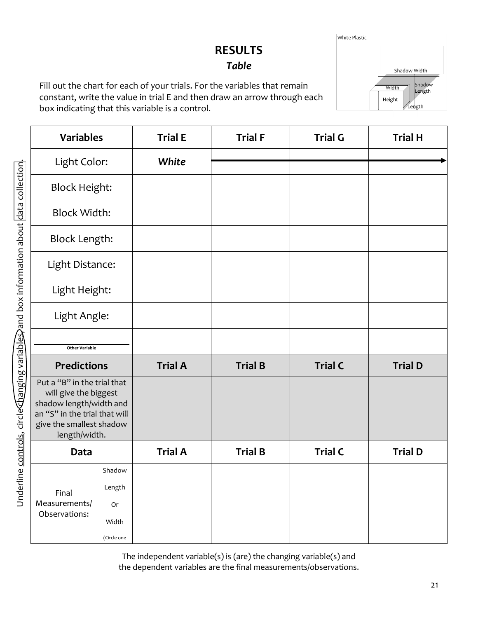# **RESULTS**

# *Table*

Fill out the chart for each of your trials. For the variables that remain constant, write the value in trial E and then draw an arrow through each box indicating that this variable is a control.

| <b>Variables</b>                                                                                                                                              |                                                | <b>Trial E</b> | <b>Trial F</b> | <b>Trial G</b> | <b>Trial H</b> |
|---------------------------------------------------------------------------------------------------------------------------------------------------------------|------------------------------------------------|----------------|----------------|----------------|----------------|
| Light Color:                                                                                                                                                  |                                                | White          |                |                |                |
| <b>Block Height:</b>                                                                                                                                          |                                                |                |                |                |                |
| <b>Block Width:</b>                                                                                                                                           |                                                |                |                |                |                |
| <b>Block Length:</b>                                                                                                                                          |                                                |                |                |                |                |
| Light Distance:                                                                                                                                               |                                                |                |                |                |                |
| Light Height:                                                                                                                                                 |                                                |                |                |                |                |
| Light Angle:                                                                                                                                                  |                                                |                |                |                |                |
| <b>Other Variable</b>                                                                                                                                         |                                                |                |                |                |                |
| <b>Predictions</b>                                                                                                                                            |                                                | <b>Trial A</b> | <b>Trial B</b> | <b>Trial C</b> | <b>Trial D</b> |
| Put a "B" in the trial that<br>will give the biggest<br>shadow length/width and<br>an "S" in the trial that will<br>give the smallest shadow<br>length/width. |                                                |                |                |                |                |
| Data                                                                                                                                                          |                                                | <b>Trial A</b> | <b>Trial B</b> | <b>Trial C</b> | <b>Trial D</b> |
| Final<br>Measurements/<br>Observations:                                                                                                                       | Shadow<br>Length<br>Or<br>Width<br>(Circle one |                |                |                |                |

The independent variable(s) is (are) the changing variable(s) and the dependent variables are the final measurements/observations.

21

**White Plastic** Shadow Width Shadow Width Length Height Length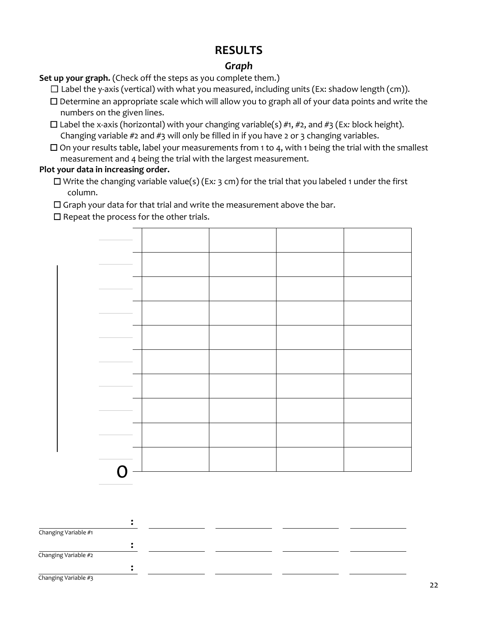## **RESULTS**

## *Graph*

Set up your graph. (Check off the steps as you complete them.)

 $\Box$  Label the y-axis (vertical) with what you measured, including units (Ex: shadow length (cm)).

- ☐ Determine an appropriate scale which will allow you to graph all of your data points and write the numbers on the given lines.
- ☐ Label the x-axis (horizontal) with your changing variable(s) #1, #2, and #3 (Ex*:* block height). Changing variable  $#2$  and  $#3$  will only be filled in if you have 2 or 3 changing variables.
- $\Box$  On your results table, label your measurements from 1 to 4, with 1 being the trial with the smallest measurement and 4 being the trial with the largest measurement.

## **Plot your data in increasing order.**

☐ Write the changing variable value(s) (Ex*:* 3 cm) for the trial that you labeled 1 under the first column.

☐ Graph your data for that trial and write the measurement above the bar.

 $\Box$  Repeat the process for the other trials.



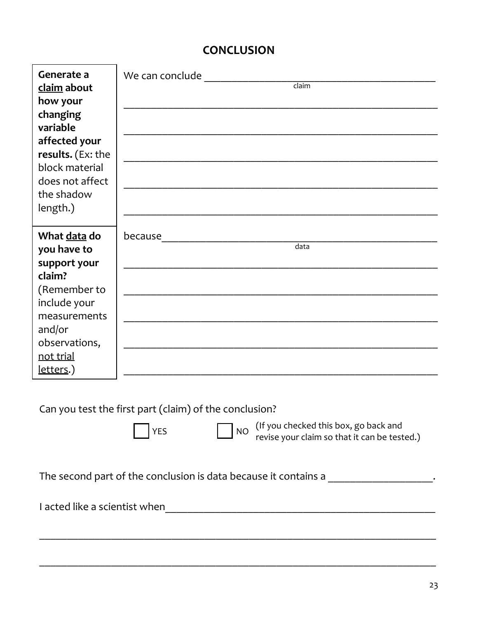# **CONCLUSION**

| Generate a<br>claim about<br>how your<br>changing<br>variable<br>affected your<br>results. (Ex: the<br>block material<br>does not affect<br>the shadow<br>length.) | We can conclude when the control of the canonic state of the control of the control of the control of the control of the control of the control of the control of the control of the control of the control of the control of<br>claim |
|--------------------------------------------------------------------------------------------------------------------------------------------------------------------|----------------------------------------------------------------------------------------------------------------------------------------------------------------------------------------------------------------------------------------|
| What data do<br>you have to<br>support your<br>claim?<br>(Remember to<br>include your<br>measurements<br>and/or<br>observations,<br>not trial<br>letters.)         | because<br><u> 1989 - Johann John Stein, mars ar yw i brenin y cyfeiriau ar y cyfeiriau ar y cyfeiriau ar y cyfeiriau ar y</u><br>$\overline{data}$                                                                                    |
|                                                                                                                                                                    | Can you test the first part (claim) of the conclusion?<br>(If you checked this box, go back and<br><b>NO</b><br><b>YES</b><br>revise your claim so that it can be tested.)                                                             |

\_\_\_\_\_\_\_\_\_\_\_\_\_\_\_\_\_\_\_\_\_\_\_\_\_\_\_\_\_\_\_\_\_\_\_\_\_\_\_\_\_\_\_\_\_\_\_\_\_\_\_\_\_\_\_\_\_\_\_\_\_\_\_\_\_\_\_\_\_\_\_\_

 $\_$  , and the contribution of the contribution of  $\mathcal{L}_1$  , and  $\mathcal{L}_2$  , and  $\mathcal{L}_3$  , and  $\mathcal{L}_4$  , and  $\mathcal{L}_5$  , and  $\mathcal{L}_6$  , and  $\mathcal{L}_7$  , and  $\mathcal{L}_8$  , and  $\mathcal{L}_7$  , and  $\mathcal{L}_8$  , and  $\mathcal{L}_9$  ,

The second part of the conclusion is data because it contains a \_\_\_\_\_\_\_\_\_\_\_\_\_\_\_\_\_\_\_\_\_\_.

I acted like a scientist when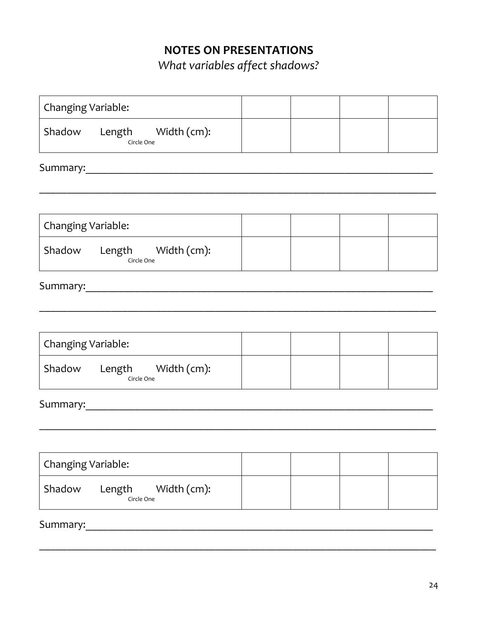# **NOTES ON PRESENTATIONS**

*What variables affect shadows?*

| Changing Variable:                                                                                                                                                                                                             |  |  |  |  |  |  |  |
|--------------------------------------------------------------------------------------------------------------------------------------------------------------------------------------------------------------------------------|--|--|--|--|--|--|--|
| Length Width (cm):<br>Shadow<br>Circle One                                                                                                                                                                                     |  |  |  |  |  |  |  |
| Summary: Note and the set of the set of the set of the set of the set of the set of the set of the set of the set of the set of the set of the set of the set of the set of the set of the set of the set of the set of the se |  |  |  |  |  |  |  |
|                                                                                                                                                                                                                                |  |  |  |  |  |  |  |
|                                                                                                                                                                                                                                |  |  |  |  |  |  |  |
| Changing Variable:                                                                                                                                                                                                             |  |  |  |  |  |  |  |
| Shadow Length Width (cm):<br>Circle One                                                                                                                                                                                        |  |  |  |  |  |  |  |
|                                                                                                                                                                                                                                |  |  |  |  |  |  |  |
|                                                                                                                                                                                                                                |  |  |  |  |  |  |  |
| Changing Variable:                                                                                                                                                                                                             |  |  |  |  |  |  |  |
| Shadow Length Width (cm):<br>Circle One                                                                                                                                                                                        |  |  |  |  |  |  |  |
|                                                                                                                                                                                                                                |  |  |  |  |  |  |  |
|                                                                                                                                                                                                                                |  |  |  |  |  |  |  |
| Changing Variable:                                                                                                                                                                                                             |  |  |  |  |  |  |  |
| Shadow<br>Width (cm):<br>Length<br>Circle One                                                                                                                                                                                  |  |  |  |  |  |  |  |
| Summary:                                                                                                                                                                                                                       |  |  |  |  |  |  |  |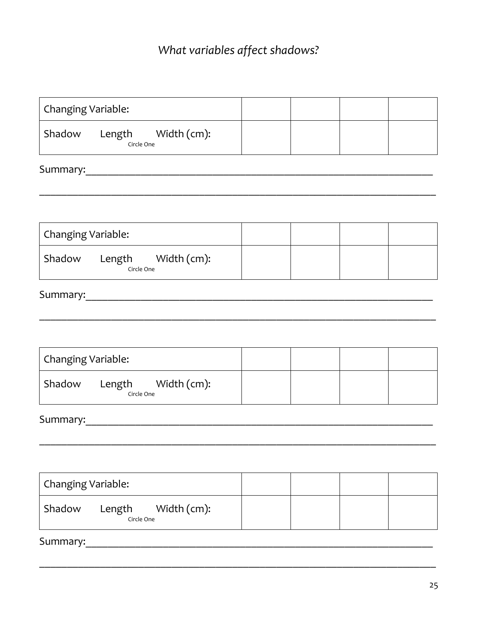# What variables affect shadows?

| Changing Variable:                            |  |  |  |  |  |  |  |  |  |
|-----------------------------------------------|--|--|--|--|--|--|--|--|--|
| Shadow Length Width (cm):<br>Circle One       |  |  |  |  |  |  |  |  |  |
|                                               |  |  |  |  |  |  |  |  |  |
|                                               |  |  |  |  |  |  |  |  |  |
|                                               |  |  |  |  |  |  |  |  |  |
| Changing Variable:                            |  |  |  |  |  |  |  |  |  |
| Shadow Length Width (cm):<br>Circle One       |  |  |  |  |  |  |  |  |  |
|                                               |  |  |  |  |  |  |  |  |  |
|                                               |  |  |  |  |  |  |  |  |  |
|                                               |  |  |  |  |  |  |  |  |  |
| Changing Variable:                            |  |  |  |  |  |  |  |  |  |
| Shadow Length Width (cm):<br>Circle One       |  |  |  |  |  |  |  |  |  |
|                                               |  |  |  |  |  |  |  |  |  |
|                                               |  |  |  |  |  |  |  |  |  |
|                                               |  |  |  |  |  |  |  |  |  |
| Changing Variable:                            |  |  |  |  |  |  |  |  |  |
| Shadow<br>Width (cm):<br>Length<br>Circle One |  |  |  |  |  |  |  |  |  |
| Summary:                                      |  |  |  |  |  |  |  |  |  |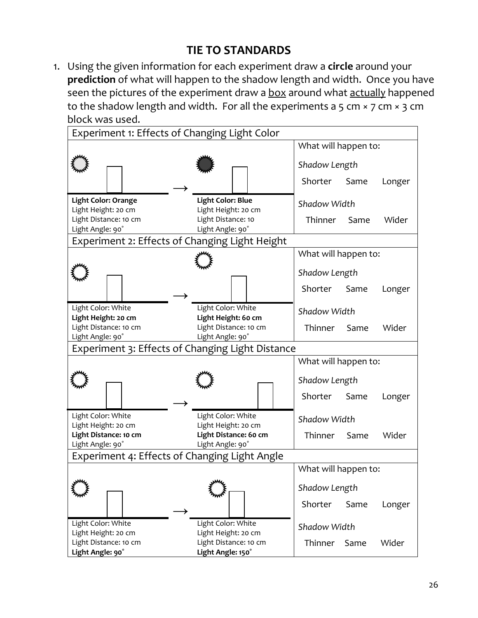# **TIE TO STANDARDS**

1. Using the given information for each experiment draw a **circle** around your **prediction** of what will happen to the shadow length and width. Once you have seen the pictures of the experiment draw a box around what actually happened to the shadow length and width. For all the experiments a 5 cm  $\times$  7 cm  $\times$  3 cm block was used.

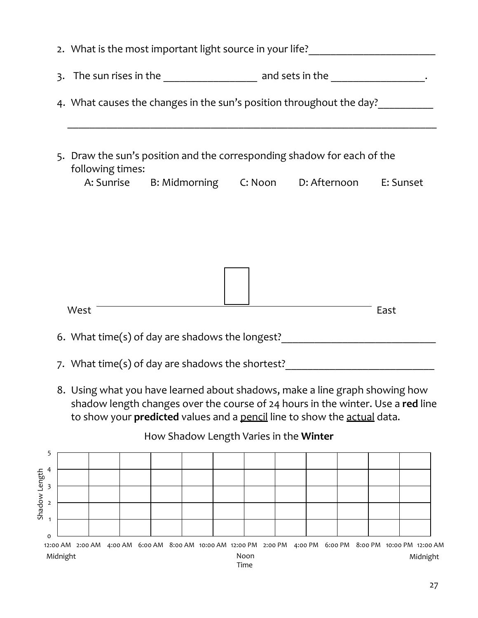|                | 3. The sun rises in the _____________________ and sets in the __________________. |                  |  |                                                                                                                                                         |  |  |  |  |  |  |      |                                                                                 |
|----------------|-----------------------------------------------------------------------------------|------------------|--|---------------------------------------------------------------------------------------------------------------------------------------------------------|--|--|--|--|--|--|------|---------------------------------------------------------------------------------|
|                | 4. What causes the changes in the sun's position throughout the day?              |                  |  |                                                                                                                                                         |  |  |  |  |  |  |      |                                                                                 |
|                |                                                                                   | following times: |  | 5. Draw the sun's position and the corresponding shadow for each of the<br>A: Sunrise B: Midmorning C: Noon D: Afternoon E: Sunset                      |  |  |  |  |  |  |      |                                                                                 |
|                |                                                                                   |                  |  |                                                                                                                                                         |  |  |  |  |  |  |      |                                                                                 |
|                |                                                                                   |                  |  |                                                                                                                                                         |  |  |  |  |  |  |      |                                                                                 |
|                |                                                                                   |                  |  |                                                                                                                                                         |  |  |  |  |  |  |      |                                                                                 |
|                |                                                                                   |                  |  |                                                                                                                                                         |  |  |  |  |  |  |      |                                                                                 |
|                |                                                                                   |                  |  |                                                                                                                                                         |  |  |  |  |  |  |      |                                                                                 |
|                | West                                                                              |                  |  |                                                                                                                                                         |  |  |  |  |  |  | East |                                                                                 |
|                |                                                                                   |                  |  |                                                                                                                                                         |  |  |  |  |  |  |      | 6. What time(s) of day are shadows the longest?                                 |
|                |                                                                                   |                  |  | 7. What time(s) of day are shadows the shortest?                                                                                                        |  |  |  |  |  |  |      |                                                                                 |
|                |                                                                                   |                  |  | 8. Using what you have learned about shadows, make a line graph showing how<br>to show your predicted values and a pencil line to show the actual data. |  |  |  |  |  |  |      | shadow length changes over the course of 24 hours in the winter. Use a red line |
|                |                                                                                   |                  |  | How Shadow Length Varies in the Winter                                                                                                                  |  |  |  |  |  |  |      |                                                                                 |
| 5<br>4         |                                                                                   |                  |  |                                                                                                                                                         |  |  |  |  |  |  |      |                                                                                 |
| 3              |                                                                                   |                  |  |                                                                                                                                                         |  |  |  |  |  |  |      |                                                                                 |
| $\overline{2}$ |                                                                                   |                  |  |                                                                                                                                                         |  |  |  |  |  |  |      |                                                                                 |
| $\mathbf{1}$   |                                                                                   |                  |  |                                                                                                                                                         |  |  |  |  |  |  |      |                                                                                 |

0 12:00 AM 2:00 AM 4:00 AM 6:00 AM 8:00 AM 10:00 AM 12:00 PM 2:00 PM 4:00 PM 6:00 PM 8:00 PM 10:00 PM 12:00 AM Shadow Length Noon<br>Time Midnight Noon Midnight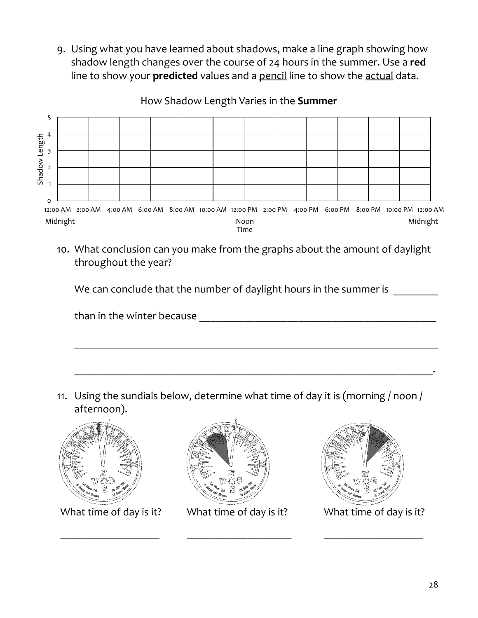9. Using what you have learned about shadows, make a line graph showing how shadow length changes over the course of 24 hours in the summer. Use a **red** line to show your **predicted** values and a pencil line to show the actual data.

How Shadow Length Varies in the **Summer**



10. What conclusion can you make from the graphs about the amount of daylight throughout the year?

We can conclude that the number of daylight hours in the summer is

than in the winter because **Example 20** and the winter  $\frac{1}{2}$ 

11. Using the sundials below, determine what time of day it is (morning / noon / afternoon).

 $\overline{\phantom{a}}$  , and the contribution of the contribution of the contribution of the contribution of the contribution of the contribution of the contribution of the contribution of the contribution of the contribution of the

\_\_\_\_\_\_\_\_\_\_\_\_\_\_\_\_\_\_\_\_\_\_\_\_\_\_\_\_\_\_\_\_\_\_\_\_\_\_\_\_\_\_\_\_\_\_\_\_\_\_\_\_\_\_\_\_\_\_\_\_\_\_\_\_\_.



What time of day is it? What time of day is it? What time of day is it?



\_\_\_\_\_\_\_\_\_\_\_\_\_\_\_\_\_\_ \_\_\_\_\_\_\_\_\_\_\_\_\_\_\_\_\_\_\_ \_\_\_\_\_\_\_\_\_\_\_\_\_\_\_\_\_\_

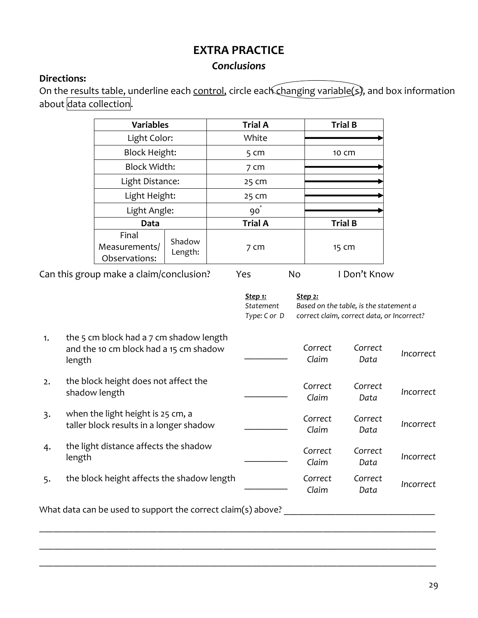# **EXTRA PRACTICE**

## *Conclusions*

## **Directions:**

On the results table, underline each control, circle each changing variable(s), and box information about data collection.

|                                         | <b>Variables</b>                        |                   | <b>Trial A</b>  |           | <b>Trial B</b> |
|-----------------------------------------|-----------------------------------------|-------------------|-----------------|-----------|----------------|
|                                         | Light Color:                            |                   | White           |           |                |
|                                         | <b>Block Height:</b>                    |                   | 5 <sub>cm</sub> |           | 10 cm          |
|                                         | <b>Block Width:</b>                     |                   | 7 <sub>cm</sub> |           |                |
|                                         | Light Distance:                         |                   | 25 cm           |           |                |
|                                         | Light Height:                           |                   | 25 cm           |           |                |
|                                         | Light Angle:                            |                   | $90^{\degree}$  |           |                |
|                                         | Data                                    |                   | <b>Trial A</b>  |           | <b>Trial B</b> |
|                                         | Final<br>Measurements/<br>Observations: | Shadow<br>Length: | 7 cm            |           | 15 cm          |
| Can this group make a claim/conclusion? |                                         |                   | Yes             | <b>No</b> | I Don't Know   |

|    |                                                                                             | <u>Step 1:</u><br>Statement<br>Type: C or D | <u>Step 2:</u><br>Based on the table, is the statement a<br>correct claim, correct data, or Incorrect? |                 |                  |
|----|---------------------------------------------------------------------------------------------|---------------------------------------------|--------------------------------------------------------------------------------------------------------|-----------------|------------------|
| 1. | the 5 cm block had a 7 cm shadow length<br>and the 10 cm block had a 15 cm shadow<br>length |                                             | Correct<br>Claim                                                                                       | Correct<br>Data | <i>Incorrect</i> |
| 2. | the block height does not affect the<br>shadow length                                       |                                             | Correct<br>Claim                                                                                       | Correct<br>Data | Incorrect        |
| 3. | when the light height is 25 cm, a<br>taller block results in a longer shadow                |                                             | Correct<br>Claim                                                                                       | Correct<br>Data | <i>Incorrect</i> |
| 4. | the light distance affects the shadow<br>length                                             |                                             | Correct<br>Claim                                                                                       | Correct<br>Data | Incorrect        |
| 5. | the block height affects the shadow length                                                  |                                             | Correct<br>Claim                                                                                       | Correct<br>Data | <i>Incorrect</i> |

\_\_\_\_\_\_\_\_\_\_\_\_\_\_\_\_\_\_\_\_\_\_\_\_\_\_\_\_\_\_\_\_\_\_\_\_\_\_\_\_\_\_\_\_\_\_\_\_\_\_\_\_\_\_\_\_\_\_\_\_\_\_\_\_\_\_\_\_\_\_\_\_\_\_\_\_\_\_\_\_\_\_\_\_

\_\_\_\_\_\_\_\_\_\_\_\_\_\_\_\_\_\_\_\_\_\_\_\_\_\_\_\_\_\_\_\_\_\_\_\_\_\_\_\_\_\_\_\_\_\_\_\_\_\_\_\_\_\_\_\_\_\_\_\_\_\_\_\_\_\_\_\_\_\_\_\_\_\_\_\_\_\_\_\_\_\_\_\_

What data can be used to support the correct claim(s) above? \_\_\_\_\_\_\_\_\_\_\_\_\_\_\_\_\_\_\_\_\_\_\_\_\_\_\_\_\_\_\_\_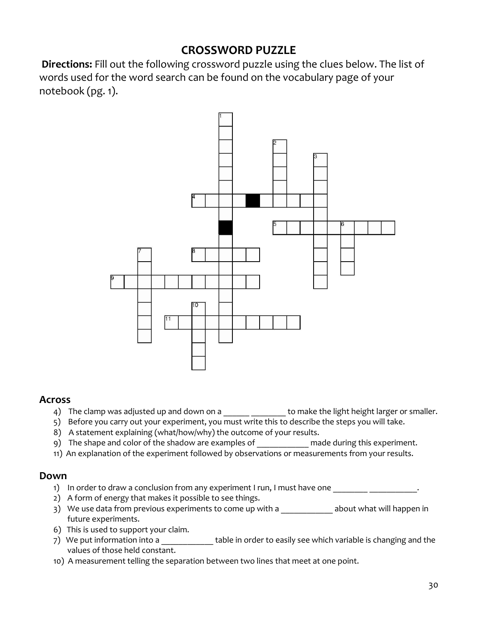## **CROSSWORD PUZZLE**

**Directions:** Fill out the following crossword puzzle using the clues below. The list of words used for the word search can be found on the vocabulary page of your notebook (pg. 1).



#### **Across**

- 4) The clamp was adjusted up and down on a \_\_\_\_\_\_ \_\_\_\_\_\_\_\_\_ to make the light height larger or smaller.
- 5) Before you carry out your experiment, you must write this to describe the steps you will take.
- 8) A statement explaining (what/how/why) the outcome of your results.
- 9) The shape and color of the shadow are examples of made during this experiment.
- 11) An explanation of the experiment followed by observations or measurements from your results.

#### **Down**

- 1) In order to draw a conclusion from any experiment I run, I must have one \_\_\_\_\_\_\_\_\_\_\_\_\_\_\_\_\_\_\_.
- 2) A form of energy that makes it possible to see things.
- 3) We use data from previous experiments to come up with a \_\_\_\_\_\_\_\_\_\_\_\_\_ about what will happen in future experiments.
- 6) This is used to support your claim.
- 7) We put information into a **table in order to easily see which variable is changing and the** values of those held constant.
- 10) A measurement telling the separation between two lines that meet at one point.